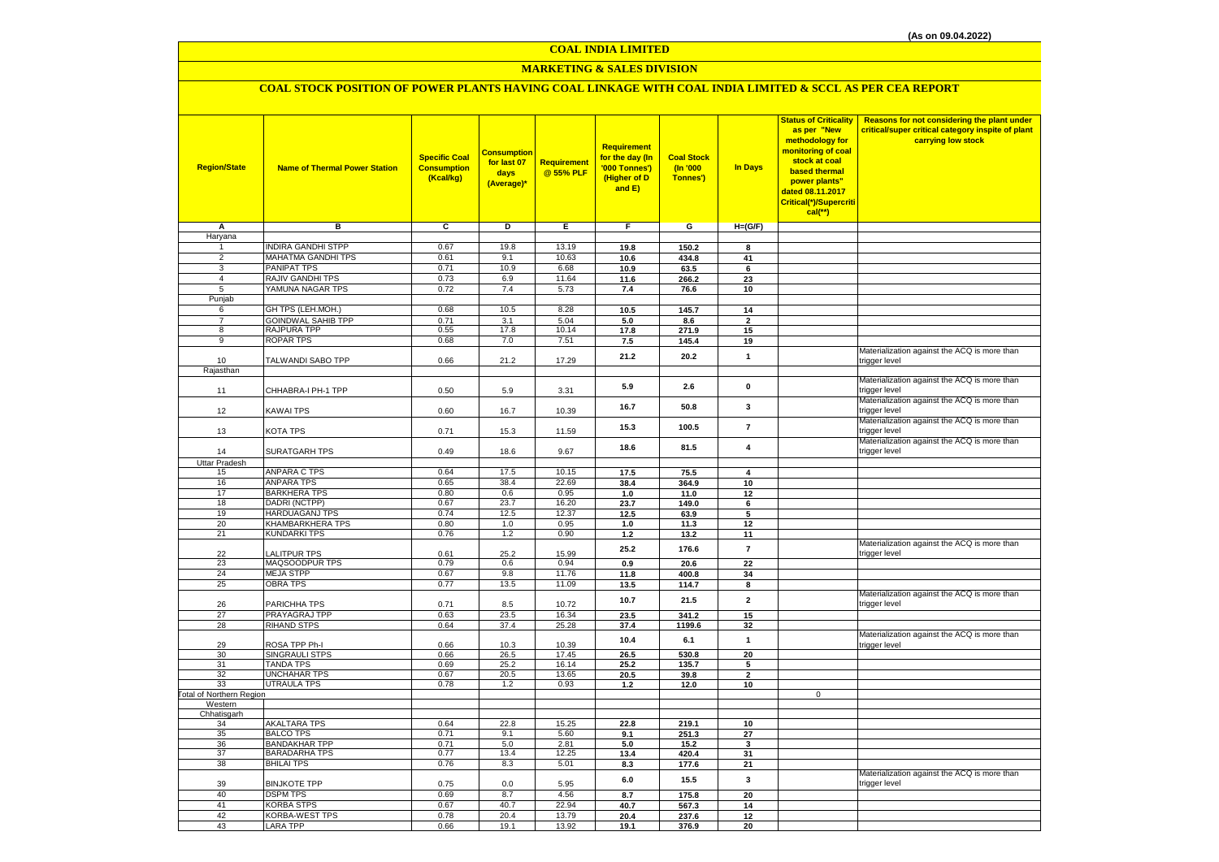# **MARKETING & SALES DIVISION**

# **COAL STOCK POSITION OF POWER PLANTS HAVING COAL LINKAGE WITH COAL INDIA LIMITED & SCCL AS PER CEA REPORT**

| <b>Region/State</b>      | <b>Name of Thermal Power Station</b>    | <b>Specific Coal</b><br><b>Consumption</b><br>(Kcal/kg) | <b>Consumption</b><br>for last 07<br>days<br>(Average)* | Requirement<br>@ 55% PLF | <b>Requirement</b><br>for the day (In<br>'000 Tonnes')<br>(Higher of D<br>and E) | <b>Coal Stock</b><br>(In '000<br>Tonnes') | In Days                 | <b>Status of Criticality</b><br>as per "New<br>methodology for<br>monitoring of coal<br>stock at coal<br>based thermal<br>power plants"<br>dated 08.11.2017<br>Critical(*)/Supercriti<br>$cal$ (**) | Reasons for not considering the plant under<br>critical/super critical category inspite of plant<br>carrying low stock |
|--------------------------|-----------------------------------------|---------------------------------------------------------|---------------------------------------------------------|--------------------------|----------------------------------------------------------------------------------|-------------------------------------------|-------------------------|-----------------------------------------------------------------------------------------------------------------------------------------------------------------------------------------------------|------------------------------------------------------------------------------------------------------------------------|
| A                        | в                                       | c                                                       | D                                                       | E.                       | F.                                                                               | G                                         | $H=(G/F)$               |                                                                                                                                                                                                     |                                                                                                                        |
| Haryana                  |                                         |                                                         |                                                         |                          |                                                                                  |                                           |                         |                                                                                                                                                                                                     |                                                                                                                        |
| -1                       | <b>INDIRA GANDHI STPP</b>               | 0.67                                                    | 19.8                                                    | 13.19                    | 19.8                                                                             | 150.2                                     | 8                       |                                                                                                                                                                                                     |                                                                                                                        |
| $\overline{2}$<br>3      | <b>MAHATMA GANDHI TPS</b>               | 0.61                                                    | 9.1                                                     | 10.63                    | 10.6                                                                             | 434.8                                     | 41                      |                                                                                                                                                                                                     |                                                                                                                        |
| $\overline{4}$           | <b>PANIPAT TPS</b><br>RAJIV GANDHI TPS  | 0.71<br>0.73                                            | 10.9<br>6.9                                             | 6.68<br>11.64            | 10.9                                                                             | 63.5                                      | 6                       |                                                                                                                                                                                                     |                                                                                                                        |
| 5                        | YAMUNA NAGAR TPS                        | 0.72                                                    | 7.4                                                     | 5.73                     | 11.6<br>7.4                                                                      | 266.2<br>76.6                             | 23<br>10                |                                                                                                                                                                                                     |                                                                                                                        |
| Punjab                   |                                         |                                                         |                                                         |                          |                                                                                  |                                           |                         |                                                                                                                                                                                                     |                                                                                                                        |
| 6                        | GH TPS (LEH.MOH.)                       | 0.68                                                    | 10.5                                                    | 8.28                     | 10.5                                                                             | 145.7                                     | 14                      |                                                                                                                                                                                                     |                                                                                                                        |
| $\overline{7}$           | <b>GOINDWAL SAHIB TPP</b>               | 0.71                                                    | 3.1                                                     | 5.04                     | 5.0                                                                              | 8.6                                       | $\overline{2}$          |                                                                                                                                                                                                     |                                                                                                                        |
| 8                        | RAJPURA TPP                             | 0.55                                                    | 17.8                                                    | 10.14                    | 17.8                                                                             | 271.9                                     | 15                      |                                                                                                                                                                                                     |                                                                                                                        |
| $_{9}$                   | ROPAR TPS                               | 0.68                                                    | 7.0                                                     | 7.51                     | 7.5                                                                              | 145.4                                     | 19                      |                                                                                                                                                                                                     |                                                                                                                        |
|                          |                                         |                                                         |                                                         |                          | 21.2                                                                             | 20.2                                      | $\mathbf{1}$            |                                                                                                                                                                                                     | Materialization against the ACQ is more than                                                                           |
| 10                       | TALWANDI SABO TPP                       | 0.66                                                    | 21.2                                                    | 17.29                    |                                                                                  |                                           |                         |                                                                                                                                                                                                     | trigger level                                                                                                          |
| Rajasthan                |                                         |                                                         |                                                         |                          |                                                                                  |                                           |                         |                                                                                                                                                                                                     | Materialization against the ACQ is more than                                                                           |
| 11                       | CHHABRA-I PH-1 TPP                      | 0.50                                                    | 5.9                                                     | 3.31                     | 5.9                                                                              | 2.6                                       | $\pmb{0}$               |                                                                                                                                                                                                     | trigger level                                                                                                          |
|                          |                                         |                                                         |                                                         |                          |                                                                                  |                                           |                         |                                                                                                                                                                                                     | Materialization against the ACQ is more than                                                                           |
| 12                       | KAWAI TPS                               | 0.60                                                    | 16.7                                                    | 10.39                    | 16.7                                                                             | 50.8                                      | $\mathbf{3}$            |                                                                                                                                                                                                     | trigger level                                                                                                          |
|                          |                                         |                                                         |                                                         |                          |                                                                                  |                                           |                         |                                                                                                                                                                                                     | Materialization against the ACQ is more than                                                                           |
| 13                       | KOTA TPS                                | 0.71                                                    | 15.3                                                    | 11.59                    | 15.3                                                                             | 100.5                                     | $\overline{7}$          |                                                                                                                                                                                                     | trigger level                                                                                                          |
|                          |                                         |                                                         |                                                         |                          | 18.6                                                                             | 81.5                                      | $\overline{\mathbf{4}}$ |                                                                                                                                                                                                     | Materialization against the ACQ is more than                                                                           |
| 14                       | SURATGARH TPS                           | 0.49                                                    | 18.6                                                    | 9.67                     |                                                                                  |                                           |                         |                                                                                                                                                                                                     | trigger level                                                                                                          |
| Uttar Pradesh            |                                         |                                                         |                                                         |                          |                                                                                  |                                           |                         |                                                                                                                                                                                                     |                                                                                                                        |
| 15                       | <b>ANPARA C TPS</b>                     | 0.64                                                    | 17.5                                                    | 10.15                    | 17.5                                                                             | 75.5                                      | 4                       |                                                                                                                                                                                                     |                                                                                                                        |
| 16                       | <b>ANPARA TPS</b>                       | 0.65                                                    | 38.4                                                    | 22.69                    | 38.4                                                                             | 364.9                                     | 10                      |                                                                                                                                                                                                     |                                                                                                                        |
| 17<br>18                 | <b>BARKHERA TPS</b><br>DADRI (NCTPP)    | 0.80<br>0.67                                            | 0.6<br>23.7                                             | 0.95<br>16.20            | 1.0<br>23.7                                                                      | 11.0<br>149.0                             | 12<br>6                 |                                                                                                                                                                                                     |                                                                                                                        |
| 19                       | HARDUAGANJ TPS                          | 0.74                                                    | 12.5                                                    | 12.37                    | 12.5                                                                             | 63.9                                      | 5                       |                                                                                                                                                                                                     |                                                                                                                        |
| 20                       | KHAMBARKHERA TPS                        | 0.80                                                    | 1.0                                                     | 0.95                     | $1.0$                                                                            | 11.3                                      | 12                      |                                                                                                                                                                                                     |                                                                                                                        |
| 21                       | <b>KUNDARKI TPS</b>                     | 0.76                                                    | 1.2                                                     | 0.90                     | 1.2                                                                              | 13.2                                      | 11                      |                                                                                                                                                                                                     |                                                                                                                        |
|                          |                                         |                                                         |                                                         |                          | 25.2                                                                             | 176.6                                     | $\overline{7}$          |                                                                                                                                                                                                     | Materialization against the ACQ is more than                                                                           |
| 22                       | <b>ALITPUR TPS</b>                      | 0.61                                                    | 25.2                                                    | 15.99                    |                                                                                  |                                           |                         |                                                                                                                                                                                                     | trigger level                                                                                                          |
| 23                       | MAQSOODPUR TPS                          | 0.79                                                    | 0.6                                                     | 0.94                     | 0.9                                                                              | 20.6                                      | 22                      |                                                                                                                                                                                                     |                                                                                                                        |
| 24                       | <b>MEJA STPP</b>                        | 0.67                                                    | 9.8                                                     | 11.76                    | 11.8                                                                             | 400.8                                     | 34                      |                                                                                                                                                                                                     |                                                                                                                        |
| 25                       | <b>OBRA TPS</b>                         | 0.77                                                    | 13.5                                                    | 11.09                    | 13.5                                                                             | 114.7                                     | 8                       |                                                                                                                                                                                                     | Materialization against the ACQ is more than                                                                           |
| 26                       | PARICHHA TPS                            | 0.71                                                    | 8.5                                                     | 10.72                    | 10.7                                                                             | 21.5                                      | $\overline{2}$          |                                                                                                                                                                                                     | trigger level                                                                                                          |
| 27                       | <b>PRAYAGRAJ TPP</b>                    | 0.63                                                    | 23.5                                                    | 16.34                    | 23.5                                                                             | 341.2                                     | 15                      |                                                                                                                                                                                                     |                                                                                                                        |
| 28                       | <b>RIHAND STPS</b>                      | 0.64                                                    | 37.4                                                    | 25.28                    | 37.4                                                                             | 1199.6                                    | 32                      |                                                                                                                                                                                                     |                                                                                                                        |
|                          |                                         |                                                         |                                                         |                          | 10.4                                                                             | 6.1                                       | $\mathbf{1}$            |                                                                                                                                                                                                     | Materialization against the ACQ is more than                                                                           |
| 29                       | ROSA TPP Ph-I                           | 0.66                                                    | 10.3                                                    | 10.39                    |                                                                                  |                                           |                         |                                                                                                                                                                                                     | trigger level                                                                                                          |
| 30                       | <b>SINGRAULI STPS</b>                   | 0.66                                                    | 26.5                                                    | 17.45                    | 26.5                                                                             | 530.8                                     | 20                      |                                                                                                                                                                                                     |                                                                                                                        |
| 31<br>32                 | <b>TANDA TPS</b><br><b>UNCHAHAR TPS</b> | 0.69<br>0.67                                            | 25.2<br>20.5                                            | 16.14<br>13.65           | 25.2<br>20.5                                                                     | 135.7                                     | 5<br>$\mathfrak{p}$     |                                                                                                                                                                                                     |                                                                                                                        |
| 33                       | <b>UTRAULA TPS</b>                      | 0.78                                                    | 1.2                                                     | 0.93                     | $1.2$                                                                            | 39.8<br>12.0                              | 10                      |                                                                                                                                                                                                     |                                                                                                                        |
| Total of Northern Region |                                         |                                                         |                                                         |                          |                                                                                  |                                           |                         | $\mathsf 0$                                                                                                                                                                                         |                                                                                                                        |
| Western                  |                                         |                                                         |                                                         |                          |                                                                                  |                                           |                         |                                                                                                                                                                                                     |                                                                                                                        |
| Chhatisgarh              |                                         |                                                         |                                                         |                          |                                                                                  |                                           |                         |                                                                                                                                                                                                     |                                                                                                                        |
| 34                       | <b>AKALTARA TPS</b>                     | 0.64                                                    | 22.8                                                    | 15.25                    | 22.8                                                                             | 219.1                                     | 10                      |                                                                                                                                                                                                     |                                                                                                                        |
| 35                       | <b>BALCO TPS</b>                        | 0.71                                                    | 9.1                                                     | 5.60                     | 9.1                                                                              | 251.3                                     | 27                      |                                                                                                                                                                                                     |                                                                                                                        |
| 36                       | <b>BANDAKHAR TPP</b>                    | 0.71                                                    | 5.0                                                     | 2.81                     | 5.0                                                                              | 15.2                                      | 3                       |                                                                                                                                                                                                     |                                                                                                                        |
| 37<br>38                 | BARADARHA TPS<br><b>BHILAI TPS</b>      | 0.77<br>0.76                                            | 13.4<br>8.3                                             | 12.25<br>5.01            | 13.4                                                                             | 420.4<br>177.6                            | 31<br>21                |                                                                                                                                                                                                     |                                                                                                                        |
|                          |                                         |                                                         |                                                         |                          | 8.3                                                                              |                                           |                         |                                                                                                                                                                                                     | Materialization against the ACQ is more than                                                                           |
| 39                       | <b>BINJKOTE TPP</b>                     | 0.75                                                    | 0.0                                                     | 5.95                     | 6.0                                                                              | 15.5                                      | 3                       |                                                                                                                                                                                                     | trigger level                                                                                                          |
| 40                       | <b>DSPM TPS</b>                         | 0.69                                                    | 8.7                                                     | 4.56                     | 8.7                                                                              | 175.8                                     | 20                      |                                                                                                                                                                                                     |                                                                                                                        |
| 41                       | <b>KORBA STPS</b>                       | 0.67                                                    | 40.7                                                    | 22.94                    | 40.7                                                                             | 567.3                                     | 14                      |                                                                                                                                                                                                     |                                                                                                                        |
| 42                       | KORBA-WEST TPS                          | 0.78                                                    | 20.4                                                    | 13.79                    | 20.4                                                                             | 237.6                                     | 12                      |                                                                                                                                                                                                     |                                                                                                                        |
| 43                       | LARA TPP                                | 0.66                                                    | 19.1                                                    | 13.92                    | 19.1                                                                             | 376.9                                     | 20                      |                                                                                                                                                                                                     |                                                                                                                        |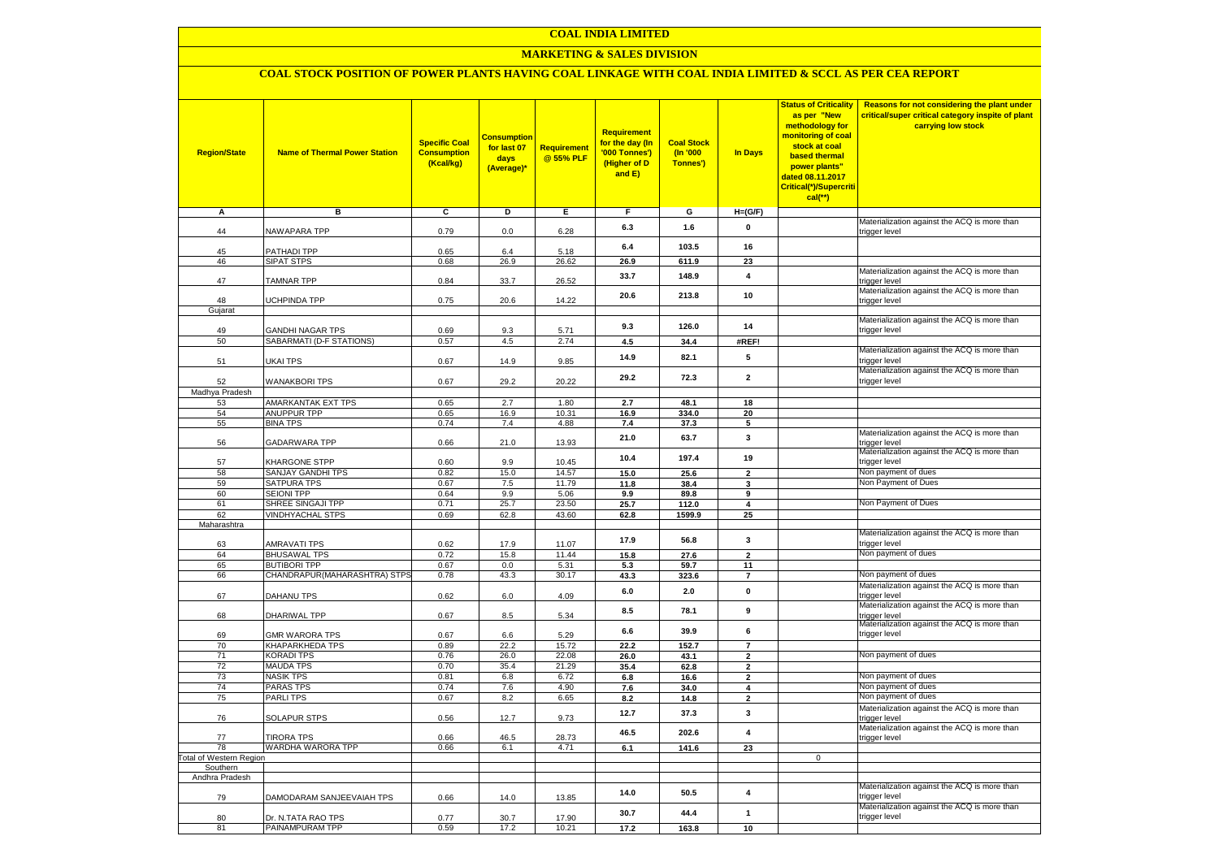### **MARKETING & SALES DIVISION**

### **COAL STOCK POSITION OF POWER PLANTS HAVING COAL LINKAGE WITH COAL INDIA LIMITED & SCCL AS PER CEA REPORT**

| <b>Region/State</b>                | <b>Name of Thermal Power Station</b>                | <b>Specific Coal</b><br><b>Consumption</b><br>(Kcal/kg) | <b>Consumption</b><br>for last 07<br>days<br>(Average)* | <b>Requirement</b><br>@ 55% PLF | Requirement<br>for the day (In<br>'000 Tonnes')<br>(Higher of D<br>and E) | <b>Coal Stock</b><br>$($ ln '000<br>Tonnes') | <b>In Days</b>                   | <b>Status of Criticality</b><br>as per "New<br>methodology for<br>monitoring of coal<br>stock at coal<br>based thermal<br>power plants"<br>dated 08.11.2017<br>Critical(*)/Supercriti<br>$cal$ (**) | Reasons for not considering the plant under<br>critical/super critical category inspite of plant<br>carrying low stock |
|------------------------------------|-----------------------------------------------------|---------------------------------------------------------|---------------------------------------------------------|---------------------------------|---------------------------------------------------------------------------|----------------------------------------------|----------------------------------|-----------------------------------------------------------------------------------------------------------------------------------------------------------------------------------------------------|------------------------------------------------------------------------------------------------------------------------|
| Α                                  | в                                                   | С                                                       | D                                                       | Е                               | F.                                                                        | G                                            | $H=(G/F)$                        |                                                                                                                                                                                                     |                                                                                                                        |
| 44                                 | <b>VAWAPARA TPP</b>                                 | 0.79                                                    | 0.0                                                     | 6.28                            | 6.3                                                                       | 1.6                                          | 0                                |                                                                                                                                                                                                     | Materialization against the ACQ is more than<br>trigger level                                                          |
| 45                                 | <b>PATHADI TPP</b>                                  | 0.65                                                    |                                                         | 5.18                            | 6.4                                                                       | 103.5                                        | 16                               |                                                                                                                                                                                                     |                                                                                                                        |
| 46                                 | SIPAT STPS                                          | 0.68                                                    | 6.4<br>26.9                                             | 26.62                           | 26.9                                                                      | 611.9                                        | 23                               |                                                                                                                                                                                                     |                                                                                                                        |
| 47                                 | <b>TAMNAR TPP</b>                                   | 0.84                                                    | 33.7                                                    | 26.52                           | 33.7                                                                      | 148.9                                        | 4                                |                                                                                                                                                                                                     | Materialization against the ACQ is more than<br>trigger level                                                          |
|                                    |                                                     |                                                         |                                                         |                                 | 20.6                                                                      | 213.8                                        | 10                               |                                                                                                                                                                                                     | Materialization against the ACQ is more than                                                                           |
| 48<br>Gujarat                      | <b>JCHPINDA TPP</b>                                 | 0.75                                                    | 20.6                                                    | 14.22                           |                                                                           |                                              |                                  |                                                                                                                                                                                                     | trigger level                                                                                                          |
|                                    |                                                     |                                                         |                                                         |                                 | 9.3                                                                       | 126.0                                        | 14                               |                                                                                                                                                                                                     | Materialization against the ACQ is more than                                                                           |
| 49<br>50                           | <b>GANDHI NAGAR TPS</b><br>SABARMATI (D-F STATIONS) | 0.69<br>0.57                                            | 9.3<br>4.5                                              | 5.71<br>2.74                    | 4.5                                                                       | 34.4                                         | #REF!                            |                                                                                                                                                                                                     | trigger level                                                                                                          |
|                                    |                                                     |                                                         |                                                         |                                 | 14.9                                                                      | 82.1                                         | 5                                |                                                                                                                                                                                                     | Materialization against the ACQ is more than<br>trigger level                                                          |
| 51                                 | <b>JKAI TPS</b>                                     | 0.67                                                    | 14.9                                                    | 9.85                            |                                                                           |                                              |                                  |                                                                                                                                                                                                     | Materialization against the ACQ is more than                                                                           |
| 52<br>Madhya Pradesh               | <b>WANAKBORI TPS</b>                                | 0.67                                                    | 29.2                                                    | 20.22                           | 29.2                                                                      | 72.3                                         | $\mathbf{2}$                     |                                                                                                                                                                                                     | trigger level                                                                                                          |
| 53                                 | AMARKANTAK EXT TPS                                  | 0.65                                                    | 2.7                                                     | 1.80                            | 2.7                                                                       | 48.1                                         | 18                               |                                                                                                                                                                                                     |                                                                                                                        |
| 54                                 | <b>ANUPPUR TPP</b>                                  | 0.65                                                    | 16.9                                                    | 10.31                           | 16.9                                                                      | 334.0                                        | 20                               |                                                                                                                                                                                                     |                                                                                                                        |
| 55                                 | <b>BINA TPS</b>                                     | 0.74                                                    | 7.4                                                     | 4.88                            | 7.4                                                                       | 37.3                                         | 5                                |                                                                                                                                                                                                     |                                                                                                                        |
| 56                                 | GADARWARA TPP                                       | 0.66                                                    | 21.0                                                    | 13.93                           | 21.0                                                                      | 63.7                                         | $\mathbf 3$                      |                                                                                                                                                                                                     | Materialization against the ACQ is more than<br>trigger level                                                          |
| 57                                 | KHARGONE STPP                                       | 0.60                                                    | 9.9                                                     | 10.45                           | 10.4                                                                      | 197.4                                        | 19                               |                                                                                                                                                                                                     | Materialization against the ACQ is more than<br>trigger level                                                          |
| 58                                 | SANJAY GANDHI TPS                                   | 0.82                                                    | 15.0                                                    | 14.57                           | 15.0                                                                      | 25.6                                         | $\overline{2}$                   |                                                                                                                                                                                                     | Non payment of dues                                                                                                    |
| 59                                 | SATPURA TPS                                         | 0.67                                                    | 7.5                                                     | 11.79                           | 11.8                                                                      | 38.4                                         | 3                                |                                                                                                                                                                                                     | Non Payment of Dues                                                                                                    |
| 60                                 | <b>SEIONI TPP</b>                                   | 0.64                                                    | 9.9                                                     | 5.06                            | 9.9                                                                       | 89.8                                         | 9                                |                                                                                                                                                                                                     | Non Payment of Dues                                                                                                    |
| 61<br>62                           | SHREE SINGAJI TPP<br><b>VINDHYACHAL STPS</b>        | 0.71<br>0.69                                            | 25.7<br>62.8                                            | 23.50<br>43.60                  | 25.7<br>62.8                                                              | 112.0<br>1599.9                              | 4<br>25                          |                                                                                                                                                                                                     |                                                                                                                        |
| Maharashtra                        |                                                     |                                                         |                                                         |                                 |                                                                           |                                              |                                  |                                                                                                                                                                                                     |                                                                                                                        |
|                                    |                                                     |                                                         |                                                         |                                 | 17.9                                                                      | 56.8                                         | 3                                |                                                                                                                                                                                                     | Materialization against the ACQ is more than                                                                           |
| 63                                 | <b>AMRAVATI TPS</b>                                 | 0.62                                                    | 17.9                                                    | 11.07                           |                                                                           |                                              |                                  |                                                                                                                                                                                                     | trigger level                                                                                                          |
| 64<br>65                           | <b>BHUSAWAL TPS</b><br><b>BUTIBORI TPP</b>          | 0.72<br>0.67                                            | 15.8<br>0.0                                             | 11.44<br>5.31                   | 15.8                                                                      | 27.6                                         | $\mathbf{2}$                     |                                                                                                                                                                                                     | Non payment of dues                                                                                                    |
| 66                                 | CHANDRAPUR(MAHARASHTRA) STPS                        | 0.78                                                    | 43.3                                                    | 30.17                           | 5.3<br>43.3                                                               | 59.7<br>323.6                                | 11<br>$\overline{7}$             |                                                                                                                                                                                                     | Non payment of dues                                                                                                    |
|                                    |                                                     |                                                         |                                                         |                                 | 6.0                                                                       | 2.0                                          | $\pmb{0}$                        |                                                                                                                                                                                                     | Materialization against the ACQ is more than                                                                           |
| 67                                 | DAHANU TPS                                          | 0.62                                                    | $6.0\,$                                                 | 4.09                            |                                                                           |                                              |                                  |                                                                                                                                                                                                     | trigger level<br>Materialization against the ACQ is more than                                                          |
| 68                                 | DHARIWAL TPP                                        | 0.67                                                    | 8.5                                                     | 5.34                            | 8.5                                                                       | 78.1                                         | $\boldsymbol{9}$                 |                                                                                                                                                                                                     | trigger level<br>Materialization against the ACQ is more than                                                          |
| 69                                 | <b>GMR WARORA TPS</b>                               | 0.67                                                    | 6.6                                                     | 5.29                            | 6.6                                                                       | 39.9                                         | 6                                |                                                                                                                                                                                                     | trigger level                                                                                                          |
| 70<br>71                           | <b>KHAPARKHEDA TPS</b><br><b>KORADI TPS</b>         | 0.89<br>0.76                                            | 22.2<br>26.0                                            | 15.72<br>22.08                  | 22.2<br>26.0                                                              | 152.7<br>43.1                                | $\overline{7}$                   |                                                                                                                                                                                                     | Non payment of dues                                                                                                    |
| 72                                 | <b>MAUDA TPS</b>                                    | 0.70                                                    | 35.4                                                    | 21.29                           | 35.4                                                                      | 62.8                                         | $\overline{2}$<br>$\overline{2}$ |                                                                                                                                                                                                     |                                                                                                                        |
| 73                                 | <b>NASIK TPS</b>                                    | 0.81                                                    | 6.8                                                     | 6.72                            | $\bf6.8$                                                                  | 16.6                                         | $\mathbf{2}$                     |                                                                                                                                                                                                     | Non payment of dues                                                                                                    |
| 74                                 | <b>PARAS TPS</b>                                    | 0.74                                                    | 7.6                                                     | 4.90                            | 7.6                                                                       | 34.0                                         | 4                                |                                                                                                                                                                                                     | Non payment of dues                                                                                                    |
| 75                                 | <b>PARLITPS</b>                                     | 0.67                                                    | 8.2                                                     | 6.65                            | 8.2                                                                       | 14.8                                         | $\overline{2}$                   |                                                                                                                                                                                                     | Non payment of dues                                                                                                    |
| 76                                 | <b>SOLAPUR STPS</b>                                 | 0.56                                                    | 12.7                                                    | 9.73                            | 12.7                                                                      | 37.3                                         | 3                                |                                                                                                                                                                                                     | Materialization against the ACQ is more than<br>trigger level                                                          |
| 77                                 | <b>TIRORA TPS</b>                                   | 0.66                                                    | 46.5                                                    | 28.73                           | 46.5                                                                      | 202.6                                        | $\overline{\mathbf{4}}$          |                                                                                                                                                                                                     | Materialization against the ACQ is more than<br>trigger level                                                          |
| 78                                 | WARDHA WARORA TPP                                   | 0.66                                                    | 6.1                                                     | 4.71                            | 6.1                                                                       | 141.6                                        | 23                               |                                                                                                                                                                                                     |                                                                                                                        |
| otal of Western Region<br>Southern |                                                     |                                                         |                                                         |                                 |                                                                           |                                              |                                  | $\mathbf 0$                                                                                                                                                                                         |                                                                                                                        |
| Andhra Pradesh                     |                                                     |                                                         |                                                         |                                 |                                                                           |                                              |                                  |                                                                                                                                                                                                     |                                                                                                                        |
| 79                                 | DAMODARAM SANJEEVAIAH TPS                           | 0.66                                                    | 14.0                                                    | 13.85                           | 14.0                                                                      | 50.5                                         | 4                                |                                                                                                                                                                                                     | Materialization against the ACQ is more than<br>trigger level                                                          |
| 80                                 | Dr. N.TATA RAO TPS                                  | 0.77                                                    | 30.7                                                    | 17.90                           | 30.7                                                                      | 44.4                                         | $\mathbf{1}$                     |                                                                                                                                                                                                     | Materialization against the ACQ is more than<br>trigger level                                                          |
| 81                                 | PAINAMPURAM TPP                                     | 0.59                                                    | 17.2                                                    | 10.21                           | 17.2                                                                      | 163.8                                        | 10                               |                                                                                                                                                                                                     |                                                                                                                        |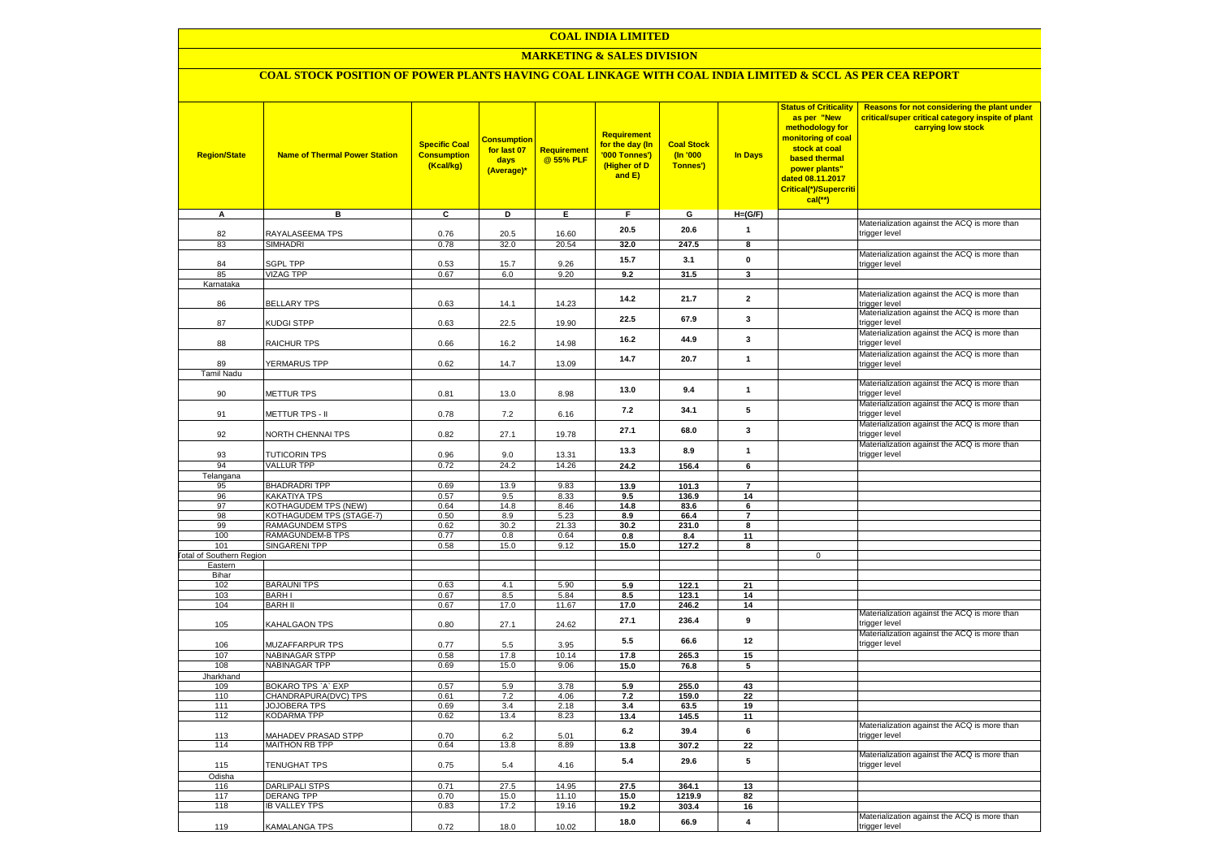### **MARKETING & SALES DIVISION**

# **COAL STOCK POSITION OF POWER PLANTS HAVING COAL LINKAGE WITH COAL INDIA LIMITED & SCCL AS PER CEA REPORT**

| <b>Region/State</b>             | <b>Name of Thermal Power Station</b>       | <b>Specific Coal</b><br><b>Consumption</b><br>(Kcal/kg) | <b>Consumption</b><br>for last 07<br>days<br>(Average)* | <b>Requirement</b><br>@ 55% PLF | <b>Requirement</b><br>for the day (In<br>'000 Tonnes')<br>(Higher of D<br>and E) | <b>Coal Stock</b><br>$($ ln '000<br>Tonnes') | In Days                 | <b>Status of Criticality</b><br>as per "New<br>methodology for<br>monitoring of coal<br>stock at coal<br>based thermal<br>power plants"<br>dated 08.11.2017<br>Critical(*)/Supercriti<br>$cal$ (**) | Reasons for not considering the plant under<br>critical/super critical category inspite of plant<br>carrying low stock |
|---------------------------------|--------------------------------------------|---------------------------------------------------------|---------------------------------------------------------|---------------------------------|----------------------------------------------------------------------------------|----------------------------------------------|-------------------------|-----------------------------------------------------------------------------------------------------------------------------------------------------------------------------------------------------|------------------------------------------------------------------------------------------------------------------------|
| A                               | в                                          | c                                                       | D                                                       | Е                               | F.                                                                               | G                                            | $H=(G/F)$               |                                                                                                                                                                                                     |                                                                                                                        |
| 82                              | RAYALASEEMA TPS                            | 0.76                                                    | 20.5                                                    | 16.60                           | 20.5                                                                             | 20.6                                         | $\mathbf{1}$            |                                                                                                                                                                                                     | Materialization against the ACQ is more than<br>trigger level                                                          |
| 83                              | SIMHADRI                                   | 0.78                                                    | 32.0                                                    | 20.54                           | 32.0                                                                             | 247.5                                        | 8                       |                                                                                                                                                                                                     |                                                                                                                        |
|                                 |                                            |                                                         |                                                         |                                 |                                                                                  |                                              |                         |                                                                                                                                                                                                     | Materialization against the ACQ is more than                                                                           |
| 84                              | <b>SGPL TPP</b>                            | 0.53                                                    | 15.7                                                    | 9.26                            | 15.7                                                                             | 3.1                                          | $\pmb{0}$               |                                                                                                                                                                                                     | trigger level                                                                                                          |
| 85                              | <b>VIZAG TPP</b>                           | 0.67                                                    | 6.0                                                     | 9.20                            | 9.2                                                                              | 31.5                                         | $\mathbf{3}$            |                                                                                                                                                                                                     |                                                                                                                        |
| Karnataka                       |                                            |                                                         |                                                         |                                 |                                                                                  |                                              |                         |                                                                                                                                                                                                     | Materialization against the ACQ is more than                                                                           |
| 86                              | <b>BELLARY TPS</b>                         | 0.63                                                    | 14.1                                                    | 14.23                           | 14.2                                                                             | 21.7                                         | $\mathbf{2}$            |                                                                                                                                                                                                     | trigger level                                                                                                          |
| 87                              | KUDGI STPP                                 | 0.63                                                    | 22.5                                                    | 19.90                           | 22.5                                                                             | 67.9                                         | 3                       |                                                                                                                                                                                                     | Materialization against the ACQ is more than<br>trigger level                                                          |
| 88                              | <b>RAICHUR TPS</b>                         | 0.66                                                    | 16.2                                                    | 14.98                           | 16.2                                                                             | 44.9                                         | $\mathbf{3}$            |                                                                                                                                                                                                     | Materialization against the ACQ is more than<br>trigger level                                                          |
|                                 |                                            |                                                         |                                                         |                                 |                                                                                  |                                              |                         |                                                                                                                                                                                                     | Materialization against the ACQ is more than                                                                           |
| 89                              | <b>YERMARUS TPP</b>                        | 0.62                                                    | 14.7                                                    | 13.09                           | 14.7                                                                             | 20.7                                         | $\mathbf{1}$            |                                                                                                                                                                                                     | trigger level                                                                                                          |
| <b>Tamil Nadu</b>               |                                            |                                                         |                                                         |                                 |                                                                                  |                                              |                         |                                                                                                                                                                                                     |                                                                                                                        |
| 90                              | <b>METTUR TPS</b>                          | 0.81                                                    | 13.0                                                    | 8.98                            | 13.0                                                                             | 9.4                                          | $\mathbf{1}$            |                                                                                                                                                                                                     | Materialization against the ACQ is more than<br>trigger level                                                          |
| 91                              | METTUR TPS - II                            | 0.78                                                    | 7.2                                                     | 6.16                            | 7.2                                                                              | 34.1                                         | 5                       |                                                                                                                                                                                                     | Materialization against the ACQ is more than<br>trigger level                                                          |
|                                 |                                            |                                                         |                                                         |                                 | 27.1                                                                             | 68.0                                         | 3                       |                                                                                                                                                                                                     | Materialization against the ACQ is more than                                                                           |
| 92                              | <b>VORTH CHENNAI TPS</b>                   | 0.82                                                    | 27.1                                                    | 19.78                           |                                                                                  |                                              |                         |                                                                                                                                                                                                     | trigger level<br>Materialization against the ACQ is more than                                                          |
| 93                              | <b>TUTICORIN TPS</b>                       | 0.96                                                    | 9.0                                                     | 13.31                           | 13.3                                                                             | 8.9                                          | $\mathbf{1}$            |                                                                                                                                                                                                     | trigger level                                                                                                          |
| 94                              | <b>VALLUR TPP</b>                          | 0.72                                                    | 24.2                                                    | 14.26                           | 24.2                                                                             | 156.4                                        | $6\overline{6}$         |                                                                                                                                                                                                     |                                                                                                                        |
| Telangana                       |                                            |                                                         |                                                         |                                 |                                                                                  |                                              |                         |                                                                                                                                                                                                     |                                                                                                                        |
| 95<br>96                        | <b>BHADRADRI TPP</b><br>KAKATIYA TPS       | 0.69<br>0.57                                            | 13.9<br>9.5                                             | 9.83<br>8.33                    | 13.9<br>9.5                                                                      | 101.3<br>136.9                               | $\overline{7}$          |                                                                                                                                                                                                     |                                                                                                                        |
| 97                              | KOTHAGUDEM TPS (NEW)                       | 0.64                                                    | 14.8                                                    | 8.46                            | 14.8                                                                             | 83.6                                         | 14<br>6                 |                                                                                                                                                                                                     |                                                                                                                        |
| 98                              | KOTHAGUDEM TPS (STAGE-7)                   | 0.50                                                    | 8.9                                                     | 5.23                            | 8.9                                                                              | 66.4                                         | $\overline{7}$          |                                                                                                                                                                                                     |                                                                                                                        |
| 99                              | <b>RAMAGUNDEM STPS</b>                     | 0.62                                                    | 30.2                                                    | 21.33                           | 30.2                                                                             | 231.0                                        | 8                       |                                                                                                                                                                                                     |                                                                                                                        |
| 100                             | <b>RAMAGUNDEM-B TPS</b>                    | 0.77                                                    | 0.8                                                     | 0.64                            | 0.8                                                                              | 8.4                                          | 11                      |                                                                                                                                                                                                     |                                                                                                                        |
| 101                             | <b>SINGARENI TPP</b>                       | 0.58                                                    | 15.0                                                    | 9.12                            | 15.0                                                                             | 127.2                                        | 8                       |                                                                                                                                                                                                     |                                                                                                                        |
| <b>Fotal of Southern Region</b> |                                            |                                                         |                                                         |                                 |                                                                                  |                                              |                         | $\mathbf 0$                                                                                                                                                                                         |                                                                                                                        |
| Eastern                         |                                            |                                                         |                                                         |                                 |                                                                                  |                                              |                         |                                                                                                                                                                                                     |                                                                                                                        |
| Bihar<br>102                    | <b>BARAUNI TPS</b>                         | 0.63                                                    | 4.1                                                     | 5.90                            | 5.9                                                                              | 122.1                                        | 21                      |                                                                                                                                                                                                     |                                                                                                                        |
| 103                             | <b>BARHI</b>                               | 0.67                                                    | 8.5                                                     | 5.84                            | 8.5                                                                              | 123.1                                        | 14                      |                                                                                                                                                                                                     |                                                                                                                        |
| 104                             | <b>BARH II</b>                             | 0.67                                                    | 17.0                                                    | 11.67                           | 17.0                                                                             | 246.2                                        | 14                      |                                                                                                                                                                                                     |                                                                                                                        |
| 105                             | KAHALGAON TPS                              | 0.80                                                    | 27.1                                                    | 24.62                           | 27.1                                                                             | 236.4                                        | 9                       |                                                                                                                                                                                                     | Materialization against the ACQ is more than<br>trigger level                                                          |
| 106                             | MUZAFFARPUR TPS                            | 0.77                                                    | 5.5                                                     | 3.95                            | 5.5                                                                              | 66.6                                         | 12                      |                                                                                                                                                                                                     | Materialization against the ACQ is more than<br>trigger level                                                          |
| 107                             | <b>NABINAGAR STPP</b>                      | 0.58                                                    | 17.8                                                    | 10.14                           | 17.8                                                                             | 265.3                                        | 15                      |                                                                                                                                                                                                     |                                                                                                                        |
| 108                             | <b>NABINAGAR TPP</b>                       | 0.69                                                    | 15.0                                                    | 9.06                            | 15.0                                                                             | 76.8                                         | 5                       |                                                                                                                                                                                                     |                                                                                                                        |
| Jharkhand                       |                                            |                                                         |                                                         |                                 |                                                                                  |                                              |                         |                                                                                                                                                                                                     |                                                                                                                        |
| 109                             | BOKARO TPS `A` EXP                         | 0.57                                                    | 5.9                                                     | 3.78                            | 5.9                                                                              | 255.0                                        | 43                      |                                                                                                                                                                                                     |                                                                                                                        |
| 110                             | CHANDRAPURA(DVC) TPS                       | 0.61                                                    | 7.2                                                     | 4.06                            | 7.2                                                                              | 159.0                                        | 22                      |                                                                                                                                                                                                     |                                                                                                                        |
| 111                             | JOJOBERA TPS                               | 0.69                                                    | 3.4                                                     | 2.18                            | 3.4                                                                              | 63.5                                         | 19                      |                                                                                                                                                                                                     |                                                                                                                        |
| 112                             | KODARMA TPP                                | 0.62                                                    | 13.4                                                    | 8.23                            | 13.4                                                                             | 145.5                                        | 11                      |                                                                                                                                                                                                     |                                                                                                                        |
| 113                             | <b>MAHADEV PRASAD STPP</b>                 | 0.70                                                    | 6.2                                                     | 5.01                            | 6.2                                                                              | 39.4                                         | 6                       |                                                                                                                                                                                                     | Materialization against the ACQ is more than<br>trigger level                                                          |
| 114                             | <b>MAITHON RB TPP</b>                      | 0.64                                                    | 13.8                                                    | 8.89                            | 13.8                                                                             | 307.2                                        | 22                      |                                                                                                                                                                                                     | Materialization against the ACQ is more than                                                                           |
| 115                             | TENUGHAT TPS                               | 0.75                                                    | 5.4                                                     | 4.16                            | 5.4                                                                              | 29.6                                         | 5                       |                                                                                                                                                                                                     | trigger level                                                                                                          |
| Odisha                          |                                            |                                                         |                                                         |                                 |                                                                                  |                                              |                         |                                                                                                                                                                                                     |                                                                                                                        |
| 116                             | <b>DARLIPALI STPS</b><br><b>DERANG TPP</b> | 0.71                                                    | 27.5                                                    | 14.95                           | 27.5                                                                             | 364.1                                        | 13                      |                                                                                                                                                                                                     |                                                                                                                        |
| 117<br>118                      | <b>IB VALLEY TPS</b>                       | 0.70<br>0.83                                            | 15.0<br>17.2                                            | 11.10<br>19.16                  | 15.0<br>19.2                                                                     | 1219.9<br>303.4                              | 82<br>16                |                                                                                                                                                                                                     |                                                                                                                        |
|                                 |                                            |                                                         |                                                         |                                 |                                                                                  |                                              |                         |                                                                                                                                                                                                     | Materialization against the ACQ is more than                                                                           |
| 119                             | KAMALANGA TPS                              | 0.72                                                    | 18.0                                                    | 10.02                           | 18.0                                                                             | 66.9                                         | $\overline{\mathbf{4}}$ |                                                                                                                                                                                                     | trigger level                                                                                                          |